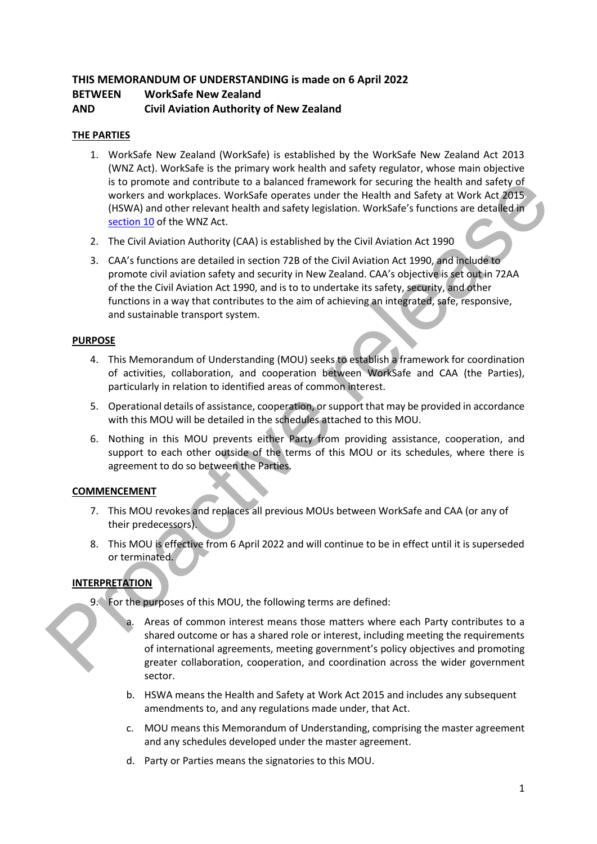# **THIS MEMORANDUM OF UNDERSTANDING is made on 6 April 2022 BETWEEN WorkSafe New Zealand AND Civil Aviation Authority of New Zealand**

# **THE PARTIES**

- 1. WorkSafe New Zealand (WorkSafe) is established by the WorkSafe New Zealand Act 2013 (WNZ Act). WorkSafe is the primary work health and safety regulator, whose main objective is to promote and contribute to a balanced framework for securing the health and safety of workers and workplaces. WorkSafe operates under the Health and Safety at Work Act 2015 (HSWA) and other relevant health and safety legislation. WorkSafe's functions are detailed in section 10 of the WNZ Act.
- 2. The Civil Aviation Authority (CAA) is established by the Civil Aviation Act 1990
- 3. CAA's functions are detailed in section 72B of the Civil Aviation Act 1990, and include to promote civil aviation safety and security in New Zealand. CAA's objective is set out in 72AA of the the Civil Aviation Act 1990, and is to to undertake its safety, security, and other functions in a way that contributes to the aim of achieving an integrated, safe, responsive, and sustainable transport system. is to promote and contribute to a balanced framework for securing the health and safety of the probability (HAV) (HAV) (HAV) (HAV) (HAV) (HAV) (HAV) (HAV) (HAV) (HAV) (HAV) (HAV) (HAV) (HAV) is exterbed by the CIVII Aviat

# **PURPOSE**

- 4. This Memorandum of Understanding (MOU) seeks to establish a framework for coordination of activities, collaboration, and cooperation between WorkSafe and CAA (the Parties), particularly in relation to identified areas of common interest.
- 5. Operational details of assistance, cooperation, or support that may be provided in accordance with this MOU will be detailed in the schedules attached to this MOU.
- 6. Nothing in this MOU prevents either Party from providing assistance, cooperation, and support to each other outside of the terms of this MOU or its schedules, where there is agreement to do so between the Parties.

# **COMMENCEMENT**

- 7. This MOU revokes and replaces all previous MOUs between WorkSafe and CAA (or any of their predecessors).
- 8. This MOU is effective from 6 April 2022 and will continue to be in effect until it is superseded or terminated.

# **INTERPRETATION**

- 9. For the purposes of this MOU, the following terms are defined:
	- Areas of common interest means those matters where each Party contributes to a shared outcome or has a shared role or interest, including meeting the requirements of international agreements, meeting government's policy objectives and promoting greater collaboration, cooperation, and coordination across the wider government sector.
	- b. HSWA means the Health and Safety at Work Act 2015 and includes any subsequent amendments to, and any regulations made under, that Act.
	- c. MOU means this Memorandum of Understanding, comprising the master agreement and any schedules developed under the master agreement.
	- d. Party or Parties means the signatories to this MOU.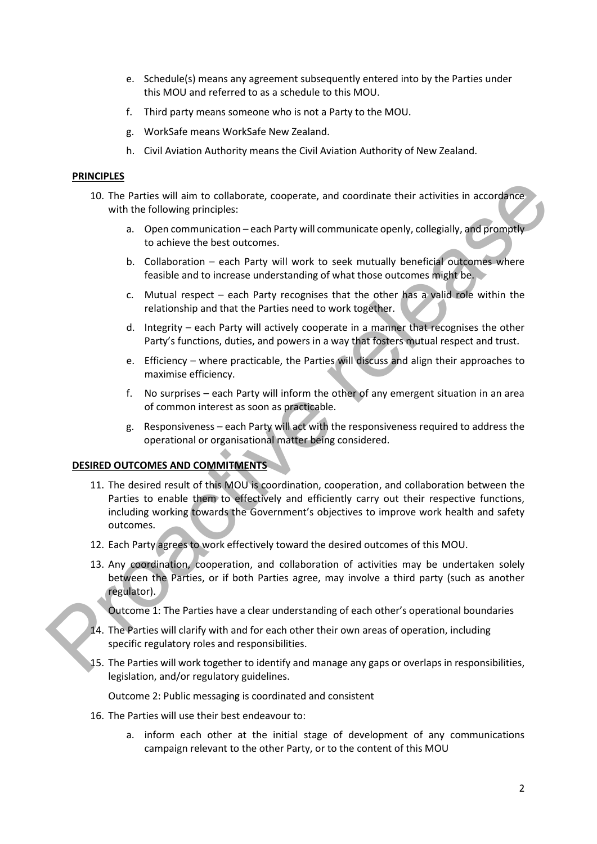- e. Schedule(s) means any agreement subsequently entered into by the Parties under this MOU and referred to as a schedule to this MOU.
- f. Third party means someone who is not a Party to the MOU.
- g. WorkSafe means WorkSafe New Zealand.
- h. Civil Aviation Authority means the Civil Aviation Authority of New Zealand.

### **PRINCIPLES**

- 10. The Parties will aim to collaborate, cooperate, and coordinate their activities in accordance with the following principles:
	- a. Open communication each Party will communicate openly, collegially, and promptly to achieve the best outcomes.
	- b. Collaboration each Party will work to seek mutually beneficial outcomes where feasible and to increase understanding of what those outcomes might be.
	- c. Mutual respect each Party recognises that the other has a valid role within the relationship and that the Parties need to work together.
	- d. Integrity each Party will actively cooperate in a manner that recognises the other Party's functions, duties, and powers in a way that fosters mutual respect and trust.
	- e. Efficiency where practicable, the Parties will discuss and align their approaches to maximise efficiency.
	- f. No surprises each Party will inform the other of any emergent situation in an area of common interest as soon as practicable.
	- g. Responsiveness each Party will act with the responsiveness required to address the operational or organisational matter being considered.

### **DESIRED OUTCOMES AND COMMITMENTS**

- 11. The desired result of this MOU is coordination, cooperation, and collaboration between the Parties to enable them to effectively and efficiently carry out their respective functions, including working towards the Government's objectives to improve work health and safety outcomes. 1.1. The Parties will aim to collaborate, cooperate, and coordinate their activities in accordance<br>
2. Deprementionicalistics.<br>
2. Deprementionic release to other that below increases to concern the best outcomes.<br>
2. Dela
	- 12. Each Party agrees to work effectively toward the desired outcomes of this MOU.
	- 13. Any coordination, cooperation, and collaboration of activities may be undertaken solely between the Parties, or if both Parties agree, may involve a third party (such as another regulator).

Outcome 1: The Parties have a clear understanding of each other's operational boundaries

- 14. The Parties will clarify with and for each other their own areas of operation, including specific regulatory roles and responsibilities.
- 15. The Parties will work together to identify and manage any gaps or overlaps in responsibilities, legislation, and/or regulatory guidelines.

Outcome 2: Public messaging is coordinated and consistent

- 16. The Parties will use their best endeavour to:
	- a. inform each other at the initial stage of development of any communications campaign relevant to the other Party, or to the content of this MOU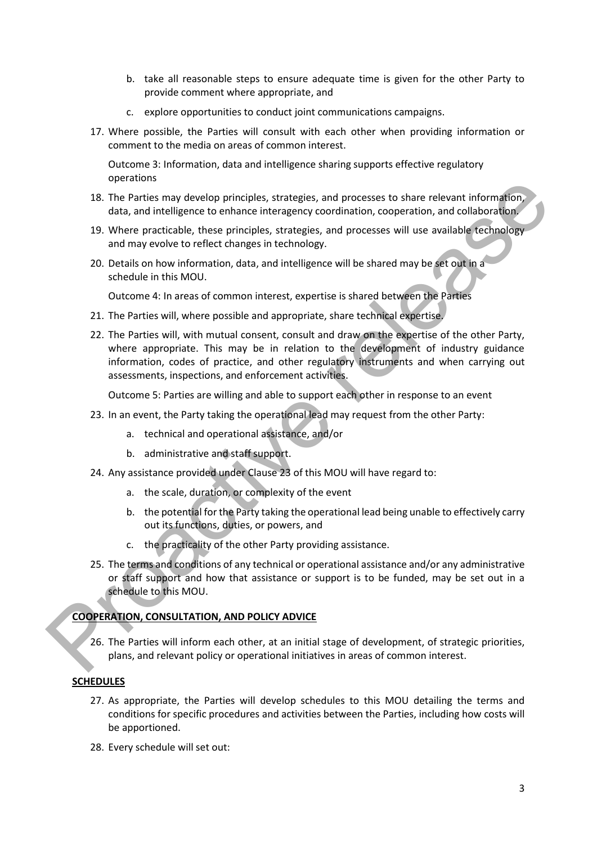- b. take all reasonable steps to ensure adequate time is given for the other Party to provide comment where appropriate, and
- c. explore opportunities to conduct joint communications campaigns.
- 17. Where possible, the Parties will consult with each other when providing information or comment to the media on areas of common interest.

Outcome 3: Information, data and intelligence sharing supports effective regulatory operations

- 18. The Parties may develop principles, strategies, and processes to share relevant information, data, and intelligence to enhance interagency coordination, cooperation, and collaboration.
- 19. Where practicable, these principles, strategies, and processes will use available technology and may evolve to reflect changes in technology.
- 20. Details on how information, data, and intelligence will be shared may be set out in a schedule in this MOU.

Outcome 4: In areas of common interest, expertise is shared between the Parties

- 21. The Parties will, where possible and appropriate, share technical expertise.
- 22. The Parties will, with mutual consent, consult and draw on the expertise of the other Party, where appropriate. This may be in relation to the development of industry guidance information, codes of practice, and other regulatory instruments and when carrying out assessments, inspections, and enforcement activities. by the Patricia and the Patricia and the Bartistics, and processes to share relevant information,<br>
13. The Parties may develop principles, strategies, and processes will use available resthations<br>
19. Where protactibel, th

Outcome 5: Parties are willing and able to support each other in response to an event

- 23. In an event, the Party taking the operational lead may request from the other Party:
	- a. technical and operational assistance, and/or
	- b. administrative and staff support.
- 24. Any assistance provided under Clause 23 of this MOU will have regard to:
	- a. the scale, duration, or complexity of the event
	- b. the potential for the Party taking the operational lead being unable to effectively carry out its functions, duties, or powers, and
	- c. the practicality of the other Party providing assistance.
- 25. The terms and conditions of any technical or operational assistance and/or any administrative or staff support and how that assistance or support is to be funded, may be set out in a schedule to this MOU.

### **COOPERATION, CONSULTATION, AND POLICY ADVICE**

26. The Parties will inform each other, at an initial stage of development, of strategic priorities, plans, and relevant policy or operational initiatives in areas of common interest.

# **SCHEDULES**

- 27. As appropriate, the Parties will develop schedules to this MOU detailing the terms and conditions for specific procedures and activities between the Parties, including how costs will be apportioned.
- 28. Every schedule will set out: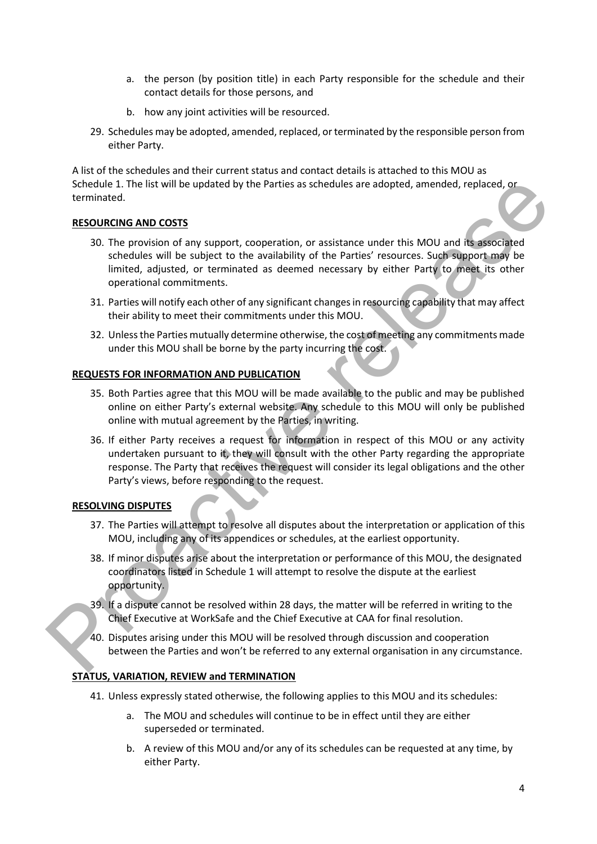- a. the person (by position title) in each Party responsible for the schedule and their contact details for those persons, and
- b. how any joint activities will be resourced.
- 29. Schedules may be adopted, amended, replaced, or terminated by the responsible person from either Party.

A list of the schedules and their current status and contact details is attached to this MOU as Schedule 1. The list will be updated by the Parties as schedules are adopted, amended, replaced, or terminated.

### **RESOURCING AND COSTS**

- 30. The provision of any support, cooperation, or assistance under this MOU and its associated schedules will be subject to the availability of the Parties' resources. Such support may be limited, adjusted, or terminated as deemed necessary by either Party to meet its other operational commitments. Scholar Lifte is it will be updated by the Parties as schedules are adopted, amended, replaced, or<br>
RESOURCING AND COSTS<br>
SO. The provision of any support, cooperation, or assistance under this MOU and its associated<br>
sche
	- 31. Parties will notify each other of any significant changes in resourcing capability that may affect their ability to meet their commitments under this MOU.
	- 32. Unless the Parties mutually determine otherwise, the cost of meeting any commitments made under this MOU shall be borne by the party incurring the cost.

### **REQUESTS FOR INFORMATION AND PUBLICATION**

- 35. Both Parties agree that this MOU will be made available to the public and may be published online on either Party's external website. Any schedule to this MOU will only be published online with mutual agreement by the Parties, in writing.
- 36. If either Party receives a request for information in respect of this MOU or any activity undertaken pursuant to it, they will consult with the other Party regarding the appropriate response. The Party that receives the request will consider its legal obligations and the other Party's views, before responding to the request.

# **RESOLVING DISPUTES**

- 37. The Parties will attempt to resolve all disputes about the interpretation or application of this MOU, including any of its appendices or schedules, at the earliest opportunity.
- 38. If minor disputes arise about the interpretation or performance of this MOU, the designated coordinators listed in Schedule 1 will attempt to resolve the dispute at the earliest opportunity.
- 39. If a dispute cannot be resolved within 28 days, the matter will be referred in writing to the Chief Executive at WorkSafe and the Chief Executive at CAA for final resolution.
- 40. Disputes arising under this MOU will be resolved through discussion and cooperation between the Parties and won't be referred to any external organisation in any circumstance.

### **STATUS, VARIATION, REVIEW and TERMINATION**

- 41. Unless expressly stated otherwise, the following applies to this MOU and its schedules:
	- a. The MOU and schedules will continue to be in effect until they are either superseded or terminated.
	- b. A review of this MOU and/or any of its schedules can be requested at any time, by either Party.